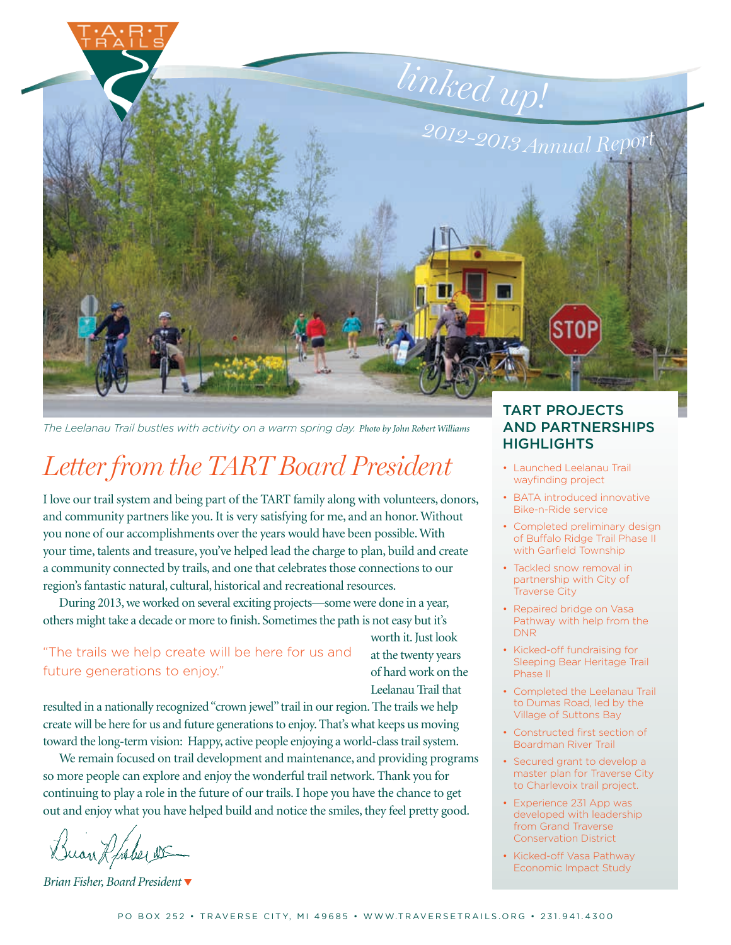

*The Leelanau Trail bustles with activity on a warm spring day. Photo by John Robert Williams*

# *Letter from the TART Board President*

I love our trail system and being part of the TART family along with volunteers, donors, and community partners like you. It is very satisfying for me, and an honor. Without you none of our accomplishments over the years would have been possible. With your time, talents and treasure, you've helped lead the charge to plan, build and create a community connected by trails, and one that celebrates those connections to our region's fantastic natural, cultural, historical and recreational resources.

During 2013, we worked on several exciting projects—some were done in a year, others might take a decade or more to finish. Sometimes the path is not easy but it's

"The trails we help create will be here for us and future generations to enjoy."

at the twenty years of hard work on the Leelanau Trail that

worth it. Just look

resulted in a nationally recognized "crown jewel" trail in our region. The trails we help create will be here for us and future generations to enjoy. That's what keeps us moving toward the long-term vision: Happy, active people enjoying a world-class trail system.

We remain focused on trail development and maintenance, and providing programs so more people can explore and enjoy the wonderful trail network. Thank you for continuing to play a role in the future of our trails. I hope you have the chance to get out and enjoy what you have helped build and notice the smiles, they feel pretty good.

an Ruber

*Brian Fisher, Board President*

### TART PROJECTS AND PARTNERSHIPS **HIGHLIGHTS**

- Launched Leelanau Trail wayfinding project
- BATA introduced innovative Bike-n-Ride service
- Completed preliminary design of Buffalo Ridge Trail Phase II with Garfield Township
- Tackled snow removal in partnership with City of Traverse City
- Repaired bridge on Vasa Pathway with help from the DNR
- Kicked-off fundraising for Sleeping Bear Heritage Trail Phase II
- Completed the Leelanau Trail to Dumas Road, led by the Village of Suttons Bay
- Constructed first section of Boardman River Trail
- Secured grant to develop a master plan for Traverse City to Charlevoix trail project.
- Experience 231 App was developed with leadership from Grand Traverse Conservation District
- Kicked-off Vasa Pathway Economic Impact Study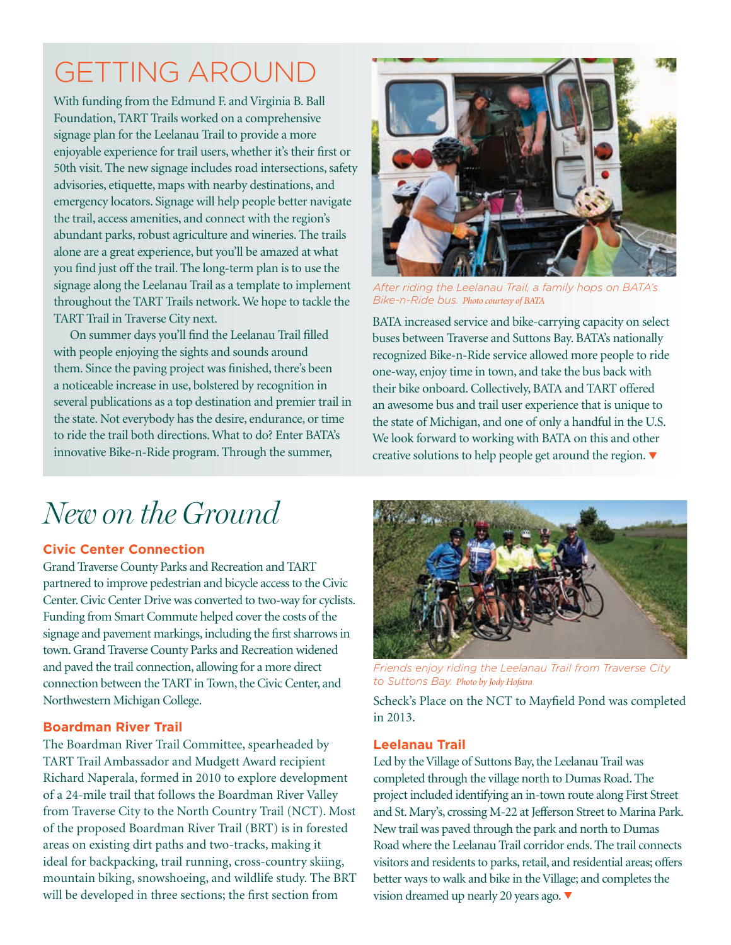# GETTING AROUND

With funding from the Edmund F. and Virginia B. Ball Foundation, TART Trails worked on a comprehensive signage plan for the Leelanau Trail to provide a more enjoyable experience for trail users, whether it's their first or 50th visit. The new signage includes road intersections, safety advisories, etiquette, maps with nearby destinations, and emergency locators. Signage will help people better navigate the trail, access amenities, and connect with the region's abundant parks, robust agriculture and wineries. The trails alone are a great experience, but you'll be amazed at what you find just off the trail. The long-term plan is to use the signage along the Leelanau Trail as a template to implement throughout the TART Trails network. We hope to tackle the TART Trail in Traverse City next.

On summer days you'll find the Leelanau Trail filled with people enjoying the sights and sounds around them. Since the paving project was finished, there's been a noticeable increase in use, bolstered by recognition in several publications as a top destination and premier trail in the state. Not everybody has the desire, endurance, or time to ride the trail both directions. What to do? Enter BATA's innovative Bike-n-Ride program. Through the summer,



*After riding the Leelanau Trail, a family hops on BATA's Bike-n-Ride bus. Photo courtesy of BATA*

BATA increased service and bike-carrying capacity on select buses between Traverse and Suttons Bay. BATA's nationally recognized Bike-n-Ride service allowed more people to ride one-way, enjoy time in town, and take the bus back with their bike onboard. Collectively, BATA and TART offered an awesome bus and trail user experience that is unique to the state of Michigan, and one of only a handful in the U.S. We look forward to working with BATA on this and other creative solutions to help people get around the region.

# *New on the Ground*

### **Civic Center Connection**

Grand Traverse County Parks and Recreation and TART partnered to improve pedestrian and bicycle access to the Civic Center. Civic Center Drive was converted to two-way for cyclists. Funding from Smart Commute helped cover the costs of the signage and pavement markings, including the first sharrows in town. Grand Traverse County Parks and Recreation widened and paved the trail connection, allowing for a more direct connection between the TART in Town, the Civic Center, and Northwestern Michigan College.

### **Boardman River Trail**

The Boardman River Trail Committee, spearheaded by TART Trail Ambassador and Mudgett Award recipient Richard Naperala, formed in 2010 to explore development of a 24-mile trail that follows the Boardman River Valley from Traverse City to the North Country Trail (NCT). Most of the proposed Boardman River Trail (BRT) is in forested areas on existing dirt paths and two-tracks, making it ideal for backpacking, trail running, cross-country skiing, mountain biking, snowshoeing, and wildlife study. The BRT will be developed in three sections; the first section from



*Friends enjoy riding the Leelanau Trail from Traverse City to Suttons Bay. Photo by Jody Hofstra*

Scheck's Place on the NCT to Mayfield Pond was completed in 2013.

### **Leelanau Trail**

Led by the Village of Suttons Bay, the Leelanau Trail was completed through the village north to Dumas Road. The project included identifying an in-town route along First Street and St. Mary's, crossing M-22 at Jefferson Street to Marina Park. New trail was paved through the park and north to Dumas Road where the Leelanau Trail corridor ends. The trail connects visitors and residents to parks, retail, and residential areas; offers better ways to walk and bike in the Village; and completes the vision dreamed up nearly 20 years ago.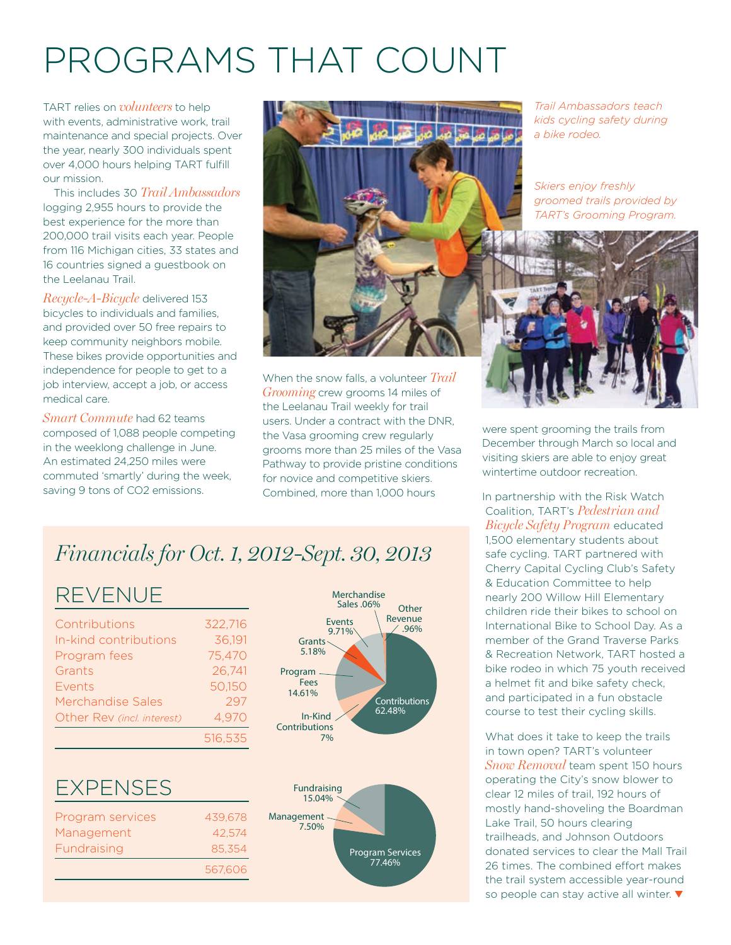# PROGRAMS THAT COUNT

TART relies on *volunteers* to help with events, administrative work, trail maintenance and special projects. Over the year, nearly 300 individuals spent over 4,000 hours helping TART fulfill our mission.

This includes 30 *Trail Ambassadors* logging 2,955 hours to provide the best experience for the more than 200,000 trail visits each year. People from 116 Michigan cities, 33 states and 16 countries signed a guestbook on the Leelanau Trail.

*Recycle-A-Bicycle* delivered 153 bicycles to individuals and families, and provided over 50 free repairs to keep community neighbors mobile. These bikes provide opportunities and independence for people to get to a job interview, accept a job, or access medical care.

*Smart Commute* had 62 teams composed of 1,088 people competing in the weeklong challenge in June. An estimated 24,250 miles were commuted 'smartly' during the week, saving 9 tons of CO2 emissions.



When the snow falls, a volunteer *Trail Grooming* crew grooms 14 miles of the Leelanau Trail weekly for trail users. Under a contract with the DNR, the Vasa grooming crew regularly grooms more than 25 miles of the Vasa Pathway to provide pristine conditions for novice and competitive skiers. Combined, more than 1,000 hours

*Trail Ambassadors teach kids cycling safety during a bike rodeo.* 

*Skiers enjoy freshly groomed trails provided by TART's Grooming Program.* 



were spent grooming the trails from December through March so local and visiting skiers are able to enjoy great wintertime outdoor recreation.

In partnership with the Risk Watch Coalition, TART's *Pedestrian and Bicycle Safety Program* educated 1,500 elementary students about safe cycling. TART partnered with Cherry Capital Cycling Club's Safety & Education Committee to help nearly 200 Willow Hill Elementary children ride their bikes to school on International Bike to School Day. As a member of the Grand Traverse Parks member of the orang maverse ranks Program **Program 2.50%** bike rodeo in which 75 youth received a helmet fit and bike safety check, and participated in a fun obstacle course to test their cycling skills.

> What does it take to keep the trails in town open? TART's volunteer *Snow Removal* team spent 150 hours operating the City's snow blower to clear 12 miles of trail, 192 hours of mostly hand-shoveling the Boardman Lake Trail, 50 hours clearing trailheads, and Johnson Outdoors donated services to clear the Mall Trail 26 times. The combined effort makes the trail system accessible year-round so people can stay active all winter.

### *Financials for Oct. 1, 2012-Sept. 30, 2013*

### REVENUE

| In-kind contributions<br>Program fees<br>Grants<br>Events<br><b>Merchandise Sales</b><br>Other Rev (incl. interest) | Contributions | 322,716 |
|---------------------------------------------------------------------------------------------------------------------|---------------|---------|
|                                                                                                                     |               | 36,191  |
|                                                                                                                     |               | 75,470  |
|                                                                                                                     |               | 26,741  |
|                                                                                                                     |               | 50,150  |
|                                                                                                                     |               | 297     |
|                                                                                                                     |               | 4,970   |
|                                                                                                                     |               | 516,535 |

#### **EXPENSES** Grants 5.18%

| Management | 439.678 | Program services |
|------------|---------|------------------|
| 7.50%      | 42,574  | Management       |
|            | 85.354  | Fundraising      |
|            | 567.606 |                  |
|            |         |                  |



Program Services 77.46%